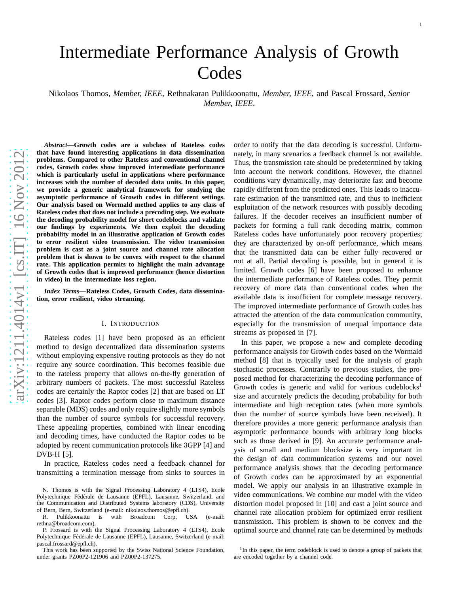Nikolaos Thomos, *Member, IEEE*, Rethnakaran Pulikkoonattu, *Member, IEEE*, and Pascal Frossard, *Senior Member, IEEE* .

*Abstract***—Growth codes are a subclass of Rateless codes that have found interesting applications in data dissemination problems. Compared to other Rateless and conventional channel codes, Growth codes show improved intermediate performanc e which is particularly useful in applications where performance increases with the number of decoded data units. In this paper, we provide a generic analytical framework for studying the asymptotic performance of Growth codes in different settings. Our analysis based on Wormald method applies to any class of Rateless codes that does not include a precoding step. We evaluate the decoding probability model for short codeblocks and validate our findings by experiments. We then exploit the decoding probability model in an illustrative application of Growth codes to error resilient video transmission. The video transmission problem is cast as a joint source and channel rate allocation problem that is shown to be convex with respect to the channel rate. This application permits to highlight the main advantage of Growth codes that is improved performance (hence distortion in video) in the intermediate loss region.**

*Index Terms***—Rateless Codes, Growth Codes, data dissemination, error resilient, video streaming.**

## I. INTRODUCTION

Rateless codes [1] have been proposed as an efficient method to design decentralized data dissemination systems without employing expensive routing protocols as they do no t require any source coordination. This becomes feasible due to the rateless property that allows on-the-fly generation o f arbitrary numbers of packets. The most successful Rateless codes are certainly the Raptor codes [2] that are based on LT codes [3]. Raptor codes perform close to maximum distance separable (MDS) codes and only require slightly more symbol s than the number of source symbols for successful recovery. These appealing properties, combined with linear encoding and decoding times, have conducted the Raptor codes to be adopted by recent communication protocols like 3GPP [4] and DVB-H [5].

In practice, Rateless codes need a feedback channel for transmitting a termination message from sinks to sources in

N. Thomos is with the Signal Processing Laboratory 4 (LTS4), Ecole Polytechnique Fédérale de Lausanne (EPFL), Lausanne, Switzerland, and the Communication and Distributed Systems laboratory (CDS), University of Bern, Bern, Switzerland (e-mail: nikolaos.thomos@epfl.ch).

R. Pulikkoonattu is with Broadcom Corp, USA (e-mail: rethna@broadcom.com).

P. Frossard is with the Signal Processing Laboratory 4 (LTS4), Ecole Polytechnique Fédérale de Lausanne (EPFL), Lausanne, Switzerland (e-mail: pascal.frossard@epfl.ch).

This work has been supported by the Swiss National Science Foundation, under grants PZ00P2-121906 and PZ00P2-137275.

order to notify that the data decoding is successful. Unfortunately, in many scenarios a feedback channel is not available. Thus, the transmission rate should be predetermined by taking into account the network conditions. However, the channel conditions vary dynamically, may deteriorate fast and become rapidly different from the predicted ones. This leads to inaccurate estimation of the transmitted rate, and thus to inefficient exploitation of the network resources with possibly decoding failures. If the decoder receives an insufficient number of packets for forming a full rank decoding matrix, common Rateless codes have unfortunately poor recovery properties; they are characterized by on-off performance, which means that the transmitted data can be either fully recovered or not at all. Partial decoding is possible, but in general it is limited. Growth codes [6] have been proposed to enhance the intermediate performance of Rateless codes. They permi t recovery of more data than conventional codes when the available data is insufficient for complete message recovery. The improved intermediate performance of Growth codes has attracted the attention of the data communication community, especially for the transmission of unequal importance data streams as proposed in [7].

In this paper, we propose a new and complete decoding performance analysis for Growth codes based on the Wormald method [8] that is typically used for the analysis of graph stochastic processes. Contrarily to previous studies, the proposed method for characterizing the decoding performance of Growth codes is generic and valid for various codeblocks<sup>1</sup> size and accurately predicts the decoding probability for both intermediate and high reception rates (when more symbols than the number of source symbols have been received). It therefore provides a more generic performance analysis tha n asymptotic performance bounds with arbitrary long blocks such as those derived in [9]. An accurate performance analysis of small and medium blocksize is very important in the design of data communication systems and our novel performance analysis shows that the decoding performance of Growth codes can be approximated by an exponential model. We apply our analysis in an illustrative example in video communications. We combine our model with the video distortion model proposed in [10] and cast a joint source and channel rate allocation problem for optimized error resilient transmission. This problem is shown to be convex and the optimal source and channel rate can be determined by methods

<sup>&</sup>lt;sup>1</sup>In this paper, the term codeblock is used to denote a group of packets that are encoded together by a channel code.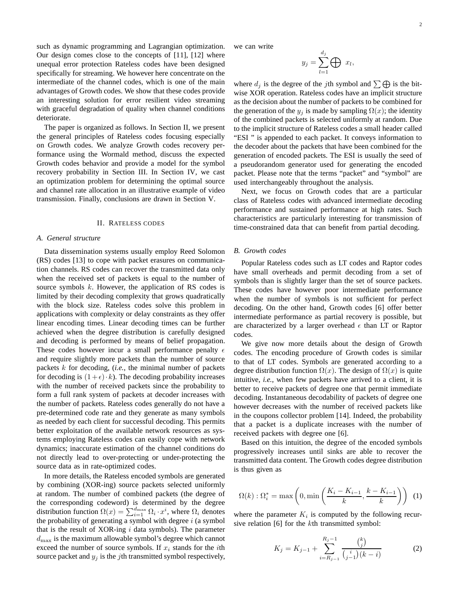such as dynamic programming and Lagrangian optimization. Our design comes close to the concepts of [11], [12] where unequal error protection Rateless codes have been designed specifically for streaming. We however here concentrate on the intermediate of the channel codes, which is one of the main advantages of Growth codes. We show that these codes provide an interesting solution for error resilient video streaming with graceful degradation of quality when channel conditions deteriorate.

The paper is organized as follows. In Section II, we present the general principles of Rateless codes focusing especially on Growth codes. We analyze Growth codes recovery performance using the Wormald method, discuss the expected Growth codes behavior and provide a model for the symbol recovery probability in Section III. In Section IV, we cast an optimization problem for determining the optimal source and channel rate allocation in an illustrative example of video transmission. Finally, conclusions are drawn in Section V.

### II. RATELESS CODES

#### *A. General structure*

Data dissemination systems usually employ Reed Solomon (RS) codes [13] to cope with packet erasures on communication channels. RS codes can recover the transmitted data only when the received set of packets is equal to the number of source symbols  $k$ . However, the application of RS codes is limited by their decoding complexity that grows quadratically with the block size. Rateless codes solve this problem in applications with complexity or delay constraints as they offer linear encoding times. Linear decoding times can be further achieved when the degree distribution is carefully designed and decoding is performed by means of belief propagation. These codes however incur a small performance penalty  $\epsilon$ and require slightly more packets than the number of source packets k for decoding, (*i.e.*, the minimal number of packets for decoding is  $(1+\epsilon) \cdot k$ ). The decoding probability increases with the number of received packets since the probability to form a full rank system of packets at decoder increases with the number of packets. Rateless codes generally do not have a pre-determined code rate and they generate as many symbols as needed by each client for successful decoding. This permits better exploitation of the available network resources as systems employing Rateless codes can easily cope with network dynamics; inaccurate estimation of the channel conditions do not directly lead to over-protecting or under-protecting the source data as in rate-optimized codes.

In more details, the Rateless encoded symbols are generated by combining (XOR-ing) source packets selected uniformly at random. The number of combined packets (the degree of the corresponding codeword) is determined by the degree distribution function  $\Omega(x) = \sum_{i=1}^{d_{\text{max}}} \Omega_i \cdot x^i$ , where  $\Omega_i$  denotes the probability of generating a symbol with degree  $i$  (a symbol that is the result of XOR-ing  $i$  data symbols). The parameter  $d_{\text{max}}$  is the maximum allowable symbol's degree which cannot exceed the number of source symbols. If  $x_i$  stands for the *i*th source packet and  $y_i$  is the j<sup>th</sup> transmitted symbol respectively,

we can write

$$
y_j = \sum_{l=1}^{d_j} \bigoplus x_l,
$$

where  $d_i$  is the degree of the jth symbol and  $\sum \bigoplus$  is the bitwise XOR operation. Rateless codes have an implicit structure as the decision about the number of packets to be combined for the generation of the  $y_j$  is made by sampling  $\Omega(x)$ ; the identity of the combined packets is selected uniformly at random. Due to the implicit structure of Rateless codes a small header called "ESI " is appended to each packet. It conveys information to the decoder about the packets that have been combined for the generation of encoded packets. The ESI is usually the seed of a pseudorandom generator used for generating the encoded packet. Please note that the terms "packet" and "symbol" are used interchangeably throughout the analysis.

Next, we focus on Growth codes that are a particular class of Rateless codes with advanced intermediate decoding performance and sustained performance at high rates. Such characteristics are particularly interesting for transmission of time-constrained data that can benefit from partial decoding.

# *B. Growth codes*

Popular Rateless codes such as LT codes and Raptor codes have small overheads and permit decoding from a set of symbols than is slightly larger than the set of source packets. These codes have however poor intermediate performance when the number of symbols is not sufficient for perfect decoding. On the other hand, Growth codes [6] offer better intermediate performance as partial recovery is possible, but are characterized by a larger overhead  $\epsilon$  than LT or Raptor codes.

We give now more details about the design of Growth codes. The encoding procedure of Growth codes is similar to that of LT codes. Symbols are generated according to a degree distribution function  $\Omega(x)$ . The design of  $\Omega(x)$  is quite intuitive, *i.e.*, when few packets have arrived to a client, it is better to receive packets of degree one that permit immediate decoding. Instantaneous decodability of packets of degree one however decreases with the number of received packets like in the coupons collector problem [14]. Indeed, the probability that a packet is a duplicate increases with the number of received packets with degree one [6].

Based on this intuition, the degree of the encoded symbols progressively increases until sinks are able to recover the transmitted data content. The Growth codes degree distribution is thus given as

$$
\Omega(k) : \Omega_i^* = \max\left(0, \min\left(\frac{K_i - K_{i-1}}{k}, \frac{k - K_{i-1}}{k}\right)\right) \tag{1}
$$

where the parameter  $K_i$  is computed by the following recursive relation [6] for the kth transmitted symbol:

$$
K_j = K_{j-1} + \sum_{i=R_{j-1}}^{R_j - 1} \frac{{k \choose j}}{\binom{i}{j-1}(k-i)}\tag{2}
$$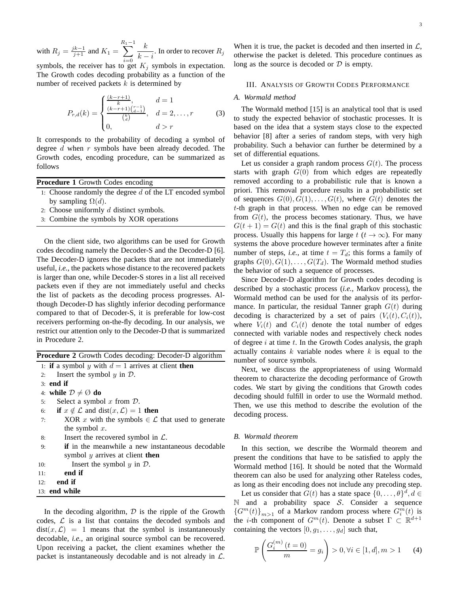with  $R_j = \frac{jk-1}{j+1}$  and  $K_1 =$  $\sum_{ }^{R_{1}-1}$  $i=0$ k  $\frac{k}{k-i}$ . In order to recover  $R_j$ 

symbols, the receiver has to get  $K_j$  symbols in expectation. The Growth codes decoding probability as a function of the number of received packets  $k$  is determined by

$$
P_{r,d}(k) = \begin{cases} \frac{(k-r+1)}{k}, & d = 1\\ \frac{(k-r+1)\binom{r-1}{d-1}}{\binom{k}{d}}, & d = 2, \dots, r\\ 0, & d > r \end{cases}
$$
(3)

It corresponds to the probability of decoding a symbol of degree  $d$  when  $r$  symbols have been already decoded. The Growth codes, encoding procedure, can be summarized as follows

**Procedure 1** Growth Codes encoding

- 1: Choose randomly the degree  $d$  of the LT encoded symbol by sampling  $\Omega(d)$ .
- 2: Choose uniformly  $d$  distinct symbols.
- 3: Combine the symbols by XOR operations

On the client side, two algorithms can be used for Growth codes decoding namely the Decoder-S and the Decoder-D [6]. The Decoder-D ignores the packets that are not immediately useful, *i.e.*, the packets whose distance to the recovered packets is larger than one, while Decoder-S stores in a list all received packets even if they are not immediately useful and checks the list of packets as the decoding process progresses. Although Decoder-D has slightly inferior decoding performance compared to that of Decoder-S, it is preferable for low-cost receivers performing on-the-fly decoding. In our analysis, we restrict our attention only to the Decoder-D that is summarized in Procedure 2.

|  |  |  |  |  | <b>Procedure 2</b> Growth Codes decoding: Decoder-D algorithm |  |
|--|--|--|--|--|---------------------------------------------------------------|--|
|--|--|--|--|--|---------------------------------------------------------------|--|

1: **if** a symbol y with  $d = 1$  arrives at client **then** 

2: Insert the symbol  $y$  in  $\mathcal{D}$ .

3: **end if**

4: **while**  $\mathcal{D} \neq \emptyset$  **do** 

- 5: Select a symbol  $x$  from  $D$ .
- 6: **if**  $x \notin \mathcal{L}$  and dist $(x, \mathcal{L}) = 1$  then
- 7: XOR x with the symbols  $\in \mathcal{L}$  that used to generate the symbol  $x$ .
- 8: Insert the recovered symbol in  $\mathcal{L}$ .
- 9: **if** in the meanwhile a new instantaneous decodable symbol y arrives at client **then**
- 10: Insert the symbol  $y$  in  $\mathcal{D}$ .
- 11: **end if**
- 12: **end if**
- 13: **end while**

In the decoding algorithm,  $D$  is the ripple of the Growth codes,  $\mathcal L$  is a list that contains the decoded symbols and  $dist(x, \mathcal{L}) = 1$  means that the symbol is instantaneously decodable, *i.e.*, an original source symbol can be recovered. Upon receiving a packet, the client examines whether the packet is instantaneously decodable and is not already in  $\mathcal{L}$ .

When it is true, the packet is decoded and then inserted in  $\mathcal{L}$ , otherwise the packet is deleted. This procedure continues as long as the source is decoded or  $D$  is empty.

# III. ANALYSIS OF GROWTH CODES PERFORMANCE

# *A. Wormald method*

The Wormald method [15] is an analytical tool that is used to study the expected behavior of stochastic processes. It is based on the idea that a system stays close to the expected behavior [8] after a series of random steps, with very high probability. Such a behavior can further be determined by a set of differential equations.

Let us consider a graph random process  $G(t)$ . The process starts with graph  $G(0)$  from which edges are repeatedly removed according to a probabilistic rule that is known a priori. This removal procedure results in a probabilistic set of sequences  $G(0), G(1), \ldots, G(t)$ , where  $G(t)$  denotes the t-th graph in that process. When no edge can be removed from  $G(t)$ , the process becomes stationary. Thus, we have  $G(t + 1) = G(t)$  and this is the final graph of this stochastic process. Usually this happens for large  $t$  ( $t \to \infty$ ). For many systems the above procedure however terminates after a finite number of steps, *i.e.*, at time  $t = T_d$ ; this forms a family of graphs  $G(0), G(1), \ldots, G(T_d)$ . The Wormald method studies the behavior of such a sequence of processes.

Since Decoder-D algorithm for Growth codes decoding is described by a stochastic process (*i.e.*, Markov process), the Wormald method can be used for the analysis of its performance. In particular, the residual Tanner graph  $G(t)$  during decoding is characterized by a set of pairs  $(V_i(t), C_i(t)),$ where  $V_i(t)$  and  $C_i(t)$  denote the total number of edges connected with variable nodes and respectively check nodes of degree  $i$  at time  $t$ . In the Growth Codes analysis, the graph actually contains  $k$  variable nodes where  $k$  is equal to the number of source symbols.

Next, we discuss the appropriateness of using Wormald theorem to characterize the decoding performance of Growth codes. We start by giving the conditions that Growth codes decoding should fulfill in order to use the Wormald method. Then, we use this method to describe the evolution of the decoding process.

# *B. Wormald theorem*

In this section, we describe the Wormald theorem and present the conditions that have to be satisfied to apply the Wormald method [16]. It should be noted that the Wormald theorem can also be used for analyzing other Rateless codes, as long as their encoding does not include any precoding step.

Let us consider that  $G(t)$  has a state space  $\{0, \ldots, \theta\}^d, d \in$  $\mathbb N$  and a probability space S. Consider a sequence  ${G^m(t)}_{m>1}$  of a Markov random process where  $G_i^m(t)$  is the *i*-th component of  $G^m(t)$ . Denote a subset  $\Gamma \subset \mathbb{R}^{d+1}$ containing the vectors  $[0, g_1, \ldots, g_d]$  such that,

$$
\mathbb{P}\left(\frac{G_i^{(m)}(t=0)}{m} = g_i\right) > 0, \forall i \in [1, d], m > 1 \tag{4}
$$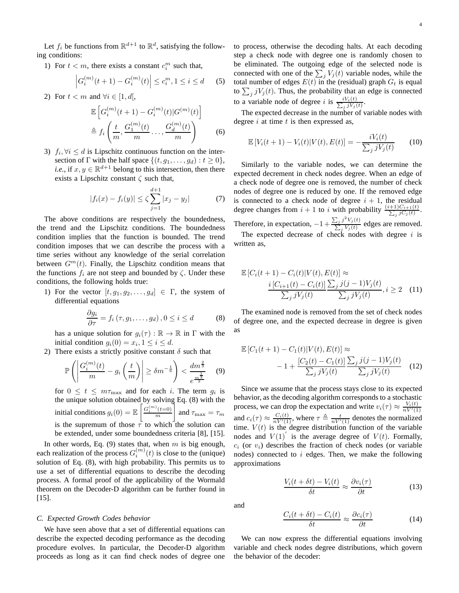Let  $f_i$  be functions from  $\mathbb{R}^{d+1}$  to  $\mathbb{R}^d$ , satisfying the following conditions:

1) For  $t < m$ , there exists a constant  $c_i^m$  such that,

$$
\left| G_i^{(m)}(t+1) - G_i^{(m)}(t) \right| \le c_i^m, 1 \le i \le d \quad (5)
$$

2) For  $t < m$  and  $\forall i \in [1, d],$ 

$$
\mathbb{E}\left[G_i^{(m)}(t+1) - G_i^{(m)}(t)|G^{(m)}(t)\right] \\
\triangleq f_i\left(\frac{t}{m}, \frac{G_1^{(m)}(t)}{m}, \dots, \frac{G_d^{(m)}(t)}{m}\right) \tag{6}
$$

3)  $f_i, \forall i \leq d$  is Lipschitz continuous function on the intersection of  $\Gamma$  with the half space  $\{(t, g_1, \ldots, g_d) : t \geq 0\},\$ *i.e.*, if  $x, y \in \mathbb{R}^{d+1}$  belong to this intersection, then there exists a Lipschitz constant  $\zeta$  such that,

$$
|f_i(x) - f_i(y)| \le \zeta \sum_{j=1}^{d+1} |x_j - y_j| \tag{7}
$$

The above conditions are respectively the boundedness, the trend and the Lipschitz conditions. The boundedness condition implies that the function is bounded. The trend condition imposes that we can describe the process with a time series without any knowledge of the serial correlation between  $G^m(t)$ . Finally, the Lipschitz condition means that the functions  $f_i$  are not steep and bounded by  $\zeta$ . Under these conditions, the following holds true:

1) For the vector  $[t, g_1, g_2, \ldots, g_d] \in \Gamma$ , the system of differential equations

$$
\frac{\partial g_i}{\partial \tau} = f_i \left( \tau, g_1, \dots, g_d \right), 0 \le i \le d \tag{8}
$$

has a unique solution for  $g_i(\tau) : \mathbb{R} \to \mathbb{R}$  in  $\Gamma$  with the initial condition  $g_i(0) = x_i, 1 \leq i \leq d$ .

2) There exists a strictly positive constant  $\delta$  such that

$$
\mathbb{P}\left(\left|\frac{G_i^{(m)}(t)}{m} - g_i\left(\frac{t}{m}\right)\right| \ge \delta m^{-\frac{1}{6}}\right) < \frac{dm^{\frac{2}{3}}}{e^{\frac{m^{\frac{1}{3}}}{2}}} \quad (9)
$$

for  $0 \le t \le m\tau_{\text{max}}$  and for each i. The term  $g_i$  is the unique solution obtained by solving Eq. (8) with the initial conditions  $g_i(0) = \mathbb{E}\left[\frac{G_i^{(m)}(t=0)}{m}\right]$ m and  $\tau_{\text{max}} = \tau_m$ is the supremum of those  $\tau$  to which the solution can be extended, under some boundedness criteria [8], [15].

In other words, Eq. (9) states that, when  $m$  is big enough, each realization of the process  $G_i^{(m)}(t)$  is close to the (unique) solution of Eq. (8), with high probability. This permits us to use a set of differential equations to describe the decoding process. A formal proof of the applicability of the Wormald theorem on the Decoder-D algorithm can be further found in [15].

## *C. Expected Growth Codes behavior*

We have seen above that a set of differential equations can describe the expected decoding performance as the decoding procedure evolves. In particular, the Decoder-D algorithm proceeds as long as it can find check nodes of degree one

to process, otherwise the decoding halts. At each decoding step a check node with degree one is randomly chosen to be eliminated. The outgoing edge of the selected node is connected with one of the  $\sum_j V_j(t)$  variable nodes, while the total number of edges  $E(t)$  in the (residual) graph  $G_t$  is equal to  $\sum_j j V_j(t)$ . Thus, the probability that an edge is connected to a variable node of degree i is  $\frac{iV_i(t)}{\sum_j jV_j(t)}$  $\frac{iV_i(t)}{j}\frac{jV_j(t)}{V}$ .

The expected decrease in the number of variable nodes with degree  $i$  at time  $t$  is then expressed as,

$$
\mathbb{E}\left[V_i(t+1) - V_i(t)|V(t), E(t)\right] = -\frac{iV_i(t)}{\sum_j jV_j(t)}\tag{10}
$$

Similarly to the variable nodes, we can determine the expected decrement in check nodes degree. When an edge of a check node of degree one is removed, the number of check nodes of degree one is reduced by one. If the removed edge is connected to a check node of degree  $i + 1$ , the residual degree changes from  $i + 1$  to i with probability  $\frac{(i+1)C_{i+1}(t)}{\sum_i jC_i(t)}$  $\frac{1)C_{i+1}(t)}{j\,jC_j(t)}$ . Therefore, in expectation,  $-1+\frac{\sum_j j^2 V_j(t)}{\sum_j V_j(t)}$  $\frac{\sum_j J \cdot v_j(t)}{\sum_j V_j(t)}$  edges are removed. The expected decrease of check nodes with degree  $i$  is written as,

$$
\mathbb{E}\left[C_i(t+1) - C_i(t)|V(t), E(t)\right] \approx \frac{i\left[C_{i+1}(t) - C_i(t)\right]\sum_j j(j-1)V_j(t)}{\sum_j jV_j(t)} , i \ge 2 \quad (11)
$$

The examined node is removed from the set of check nodes of degree one, and the expected decrease in degree is given as

$$
\mathbb{E}\left[C_1(t+1) - C_1(t)|V(t), E(t)\right] \approx -1 + \frac{\left[C_2(t) - C_1(t)\right]\sum_j j(j-1)V_j(t)}{\sum_j jV_j(t)} \quad (12)
$$

Since we assume that the process stays close to its expected behavior, as the decoding algorithm corresponds to a stochastic process, we can drop the expectation and write  $v_i(\tau) \approx \frac{V_i(t)}{nV'(1)}$ and  $c_i(\tau) \approx \frac{C_i(t)}{nV'(1)}$ , where  $\tau \triangleq \frac{t}{nV'(1)}$  denotes the normalized time.  $V(t)$  is the degree distribution function of the variable nodes and  $V(1)'$  is the average degree of  $V(t)$ . Formally,  $c_i$  (or  $v_i$ ) describes the fraction of check nodes (or variable nodes) connected to  $i$  edges. Then, we make the following approximations

$$
\frac{V_i(t + \delta t) - V_i(t)}{\delta t} \approx \frac{\partial v_i(\tau)}{\partial t}
$$
 (13)

and

$$
\frac{C_i(t+\delta t) - C_i(t)}{\delta t} \approx \frac{\partial c_i(\tau)}{\partial t}
$$
 (14)

We can now express the differential equations involving variable and check nodes degree distributions, which govern the behavior of the decoder: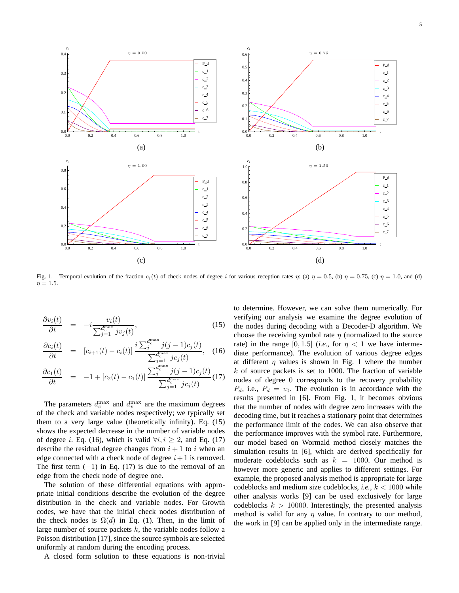



0.6

c 2

Fig. 1. Temporal evolution of the fraction  $c_i(t)$  of check nodes of degree i for various reception rates  $\eta$ : (a)  $\eta = 0.5$ , (b)  $\eta = 0.75$ , (c)  $\eta = 1.0$ , and (d)  $\eta = 1.5$ .

$$
\frac{\partial v_i(t)}{\partial t} = -i \frac{v_i(t)}{\sum_{j=1}^{d_{\text{max}}^{\text{max}}} j v_j(t)},\tag{15}
$$

0.1

0.6

0.8 *ci*

0.2

0.3

 $0.4<sub>1</sub>$ *ci*

$$
\frac{\partial c_i(t)}{\partial t} = [c_{i+1}(t) - c_i(t)] \frac{i \sum_{j}^{d_c^{\max}} j(j-1)c_j(t)}{\sum_{j=1}^{d_c^{\max}} jc_j(t)}, \quad (16)
$$

$$
\frac{\partial c_1(t)}{\partial t} = -1 + [c_2(t) - c_1(t)] \frac{\sum_{j}^{d_c^{\text{max}}} j(j-1)c_j(t)}{\sum_{j=1}^{d_c^{\text{max}}} jc_j(t)} (17)
$$

The parameters  $d_c^{\text{max}}$  and  $d_v^{\text{max}}$  are the maximum degrees of the check and variable nodes respectively; we typically set them to a very large value (theoretically infinity). Eq. (15) shows the expected decrease in the number of variable nodes of degree *i*. Eq. (16), which is valid  $\forall i, i \geq 2$ , and Eq. (17) describe the residual degree changes from  $i + 1$  to i when an edge connected with a check node of degree  $i+1$  is removed. The first term  $(-1)$  in Eq. (17) is due to the removal of an edge from the check node of degree one.

The solution of these differential equations with appropriate initial conditions describe the evolution of the degree distribution in the check and variable nodes. For Growth codes, we have that the initial check nodes distribution of the check nodes is  $\Omega(d)$  in Eq. (1). Then, in the limit of large number of source packets  $k$ , the variable nodes follow a Poisson distribution [17], since the source symbols are selected uniformly at random during the encoding process.

A closed form solution to these equations is non-trivial

to determine. However, we can solve them numerically. For verifying our analysis we examine the degree evolution of the nodes during decoding with a Decoder-D algorithm. We choose the receiving symbol rate  $\eta$  (normalized to the source rate) in the range  $[0, 1.5]$  (*i.e.*, for  $\eta < 1$  we have intermediate performance). The evolution of various degree edges at different  $\eta$  values is shown in Fig. 1 where the number  $k$  of source packets is set to 1000. The fraction of variable nodes of degree 0 corresponds to the recovery probability  $P_d$ , i.e.,  $P_d = v_0$ . The evolution is in accordance with the results presented in [6]. From Fig. 1, it becomes obvious that the number of nodes with degree zero increases with the decoding time, but it reaches a stationary point that determines the performance limit of the codes. We can also observe that the performance improves with the symbol rate. Furthermore, our model based on Wormald method closely matches the simulation results in [6], which are derived specifically for moderate codeblocks such as  $k = 1000$ . Our method is however more generic and applies to different settings. For example, the proposed analysis method is appropriate for large codeblocks and medium size codeblocks, *i.e.*,  $k < 1000$  while other analysis works [9] can be used exclusively for large codeblocks  $k > 10000$ . Interestingly, the presented analysis method is valid for any  $\eta$  value. In contrary to our method, the work in [9] can be applied only in the intermediate range.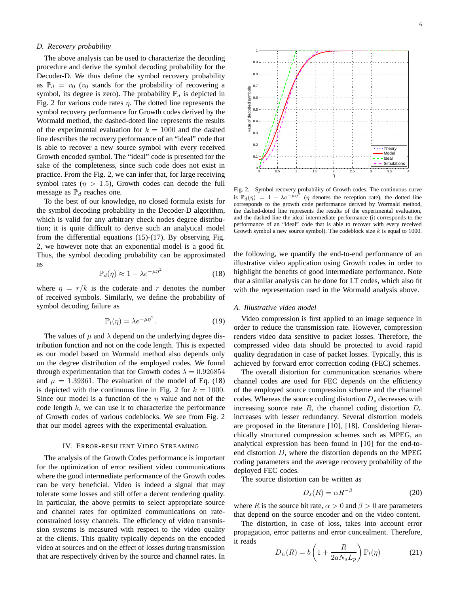### *D. Recovery probability*

The above analysis can be used to characterize the decoding procedure and derive the symbol decoding probability for the Decoder-D. We thus define the symbol recovery probability as  $\mathbb{P}_d = v_0$  ( $v_0$  stands for the probability of recovering a symbol, its degree is zero). The probability  $\mathbb{P}_d$  is depicted in Fig. 2 for various code rates  $\eta$ . The dotted line represents the symbol recovery performance for Growth codes derived by the Wormald method, the dashed-doted line represents the results of the experimental evaluation for  $k = 1000$  and the dashed line describes the recovery performance of an "ideal" code that is able to recover a new source symbol with every received Growth encoded symbol. The "ideal" code is presented for the sake of the completeness, since such code does not exist in practice. From the Fig. 2, we can infer that, for large receiving symbol rates ( $\eta > 1.5$ ), Growth codes can decode the full message as  $\mathbb{P}_d$  reaches one.

To the best of our knowledge, no closed formula exists for the symbol decoding probability in the Decoder-D algorithm, which is valid for any arbitrary check nodes degree distribution; it is quite difficult to derive such an analytical model from the differential equations (15)-(17). By observing Fig. 2, we however note that an exponential model is a good fit. Thus, the symbol decoding probability can be approximated as

$$
\mathbb{P}_d(\eta) \approx 1 - \lambda e^{-\mu \eta^2} \tag{18}
$$

where  $\eta = r/k$  is the coderate and r denotes the number of received symbols. Similarly, we define the probability of symbol decoding failure as

$$
\mathbb{P}_l(\eta) = \lambda e^{-\mu \eta^2}.
$$
 (19)

The values of  $\mu$  and  $\lambda$  depend on the underlying degree distribution function and not on the code length. This is expected as our model based on Wormald method also depends only on the degree distribution of the employed codes. We found through experimentation that for Growth codes  $\lambda = 0.926854$ and  $\mu = 1.39361$ . The evaluation of the model of Eq. (18) is depicted with the continuous line in Fig. 2 for  $k = 1000$ . Since our model is a function of the  $\eta$  value and not of the code length  $k$ , we can use it to characterize the performance of Growth codes of various codeblocks. We see from Fig. 2 that our model agrees with the experimental evaluation.

# IV. ERROR-RESILIENT VIDEO STREAMING

The analysis of the Growth Codes performance is important for the optimization of error resilient video communications where the good intermediate performance of the Growth codes can be very beneficial. Video is indeed a signal that may tolerate some losses and still offer a decent rendering quality. In particular, the above permits to select appropriate source and channel rates for optimized communications on rateconstrained lossy channels. The efficiency of video transmission systems is measured with respect to the video quality at the clients. This quality typically depends on the encoded video at sources and on the effect of losses during transmission that are respectively driven by the source and channel rates. In



Fig. 2. Symbol recovery probability of Growth codes. The continuous curve is  $\mathbb{P}_d(\eta) = 1 - \lambda e^{-\mu \eta^2}$  ( $\eta$  denotes the reception rate), the dotted line corresponds to the growth code performance derived by Wormald method, the dashed-doted line represents the results of the experimental evaluation, and the dashed line the ideal intermediate performance (it corresponds to the performance of an "ideal" code that is able to recover with every received Growth symbol a new source symbol). The codeblock size  $k$  is equal to 1000.

0 0.5 1 1.5 2 2.5 3 3.5 4

η

the following, we quantify the end-to-end performance of an illustrative video application using Growth codes in order to highlight the benefits of good intermediate performance. Note that a similar analysis can be done for LT codes, which also fit with the representation used in the Wormald analysis above.

## *A. Illustrative video model*

0  $\overline{0}$ .  $0.2$  $\overline{0}$ .  $0.4$  $0.5$  $0.6$  $0.7$  $\Omega$ .  $\theta$ 1

Rate of decoded symbols

of decoded Rate

symbols

Video compression is first applied to an image sequence in order to reduce the transmission rate. However, compression renders video data sensitive to packet losses. Therefore, the compressed video data should be protected to avoid rapid quality degradation in case of packet losses. Typically, this is achieved by forward error correction coding (FEC) schemes.

The overall distortion for communication scenarios where channel codes are used for FEC depends on the efficiency of the employed source compression scheme and the channel codes. Whereas the source coding distortion  $D_s$  decreases with increasing source rate  $R$ , the channel coding distortion  $D_c$ increases with lesser redundancy. Several distortion models are proposed in the literature [10], [18]. Considering hierarchically structured compression schemes such as MPEG, an analytical expression has been found in [10] for the end-toend distortion D, where the distortion depends on the MPEG coding parameters and the average recovery probability of the deployed FEC codes.

The source distortion can be written as

$$
D_s(R) = \alpha R^{-\beta} \tag{20}
$$

where R is the source bit rate,  $\alpha > 0$  and  $\beta > 0$  are parameters that depend on the source encoder and on the video content.

The distortion, in case of loss, takes into account error propagation, error patterns and error concealment. Therefore, it reads

$$
D_L(R) = b \left( 1 + \frac{R}{2a N_s L_p} \right) \mathbb{P}_l(\eta) \tag{21}
$$

Simula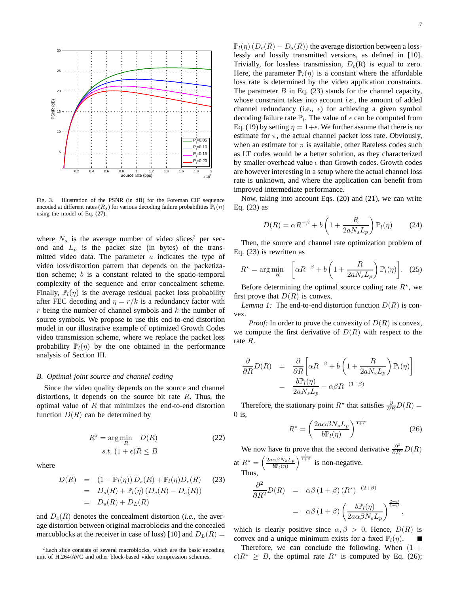

Fig. 3. Illustration of the PSNR (in dB) for the Foreman CIF sequence encoded at different rates ( $R_s$ ) for various decoding failure probabilities  $\mathbb{P}_l(n)$ using the model of Eq. (27).

where  $N_s$  is the average number of video slices<sup>2</sup> per second and  $L_p$  is the packet size (in bytes) of the transmitted video data. The parameter  $a$  indicates the type of video loss/distortion pattern that depends on the packetization scheme; b is a constant related to the spatio-temporal complexity of the sequence and error concealment scheme. Finally,  $\mathbb{P}_l(\eta)$  is the average residual packet loss probability after FEC decoding and  $\eta = r/k$  is a redundancy factor with  $r$  being the number of channel symbols and  $k$  the number of source symbols. We propose to use this end-to-end distortion model in our illustrative example of optimized Growth Codes video transmission scheme, where we replace the packet loss probability  $\mathbb{P}_l(\eta)$  by the one obtained in the performance analysis of Section III.

#### *B. Optimal joint source and channel coding*

Since the video quality depends on the source and channel distortions, it depends on the source bit rate  $R$ . Thus, the optimal value of  $R$  that minimizes the end-to-end distortion function  $D(R)$  can be determined by

$$
R^* = \underset{R}{\text{arg min}} \quad D(R) \tag{22}
$$

$$
s.t. \ (1 + \epsilon)R \le B
$$

where

$$
D(R) = (1 - \mathbb{P}_l(\eta)) D_s(R) + \mathbb{P}_l(\eta) D_c(R)
$$
 (23)  
=  $D_s(R) + \mathbb{P}_l(\eta) (D_c(R) - D_s(R))$   
=  $D_s(R) + D_L(R)$ 

and  $D_c(R)$  denotes the concealment distortion (*i.e.*, the average distortion between original macroblocks and the concealed marcoblocks at the receiver in case of loss) [10] and  $D<sub>L</sub>(R)$  =

 $2$ Each slice consists of several macroblocks, which are the basic encoding unit of H.264/AVC and other block-based video compression schemes.

 $\mathbb{P}_l(\eta)$  ( $D_c(R) - D_s(R)$ ) the average distortion between a losslessly and lossily transmitted versions, as defined in [10]. Trivially, for lossless transmission,  $D<sub>c</sub>(R)$  is equal to zero. Here, the parameter  $\mathbb{P}_l(\eta)$  is a constant where the affordable loss rate is determined by the video application constraints. The parameter  $B$  in Eq. (23) stands for the channel capacity, whose constraint takes into account *i.e.*, the amount of added channel redundancy (i.e.,  $\epsilon$ ) for achieving a given symbol decoding failure rate  $\mathbb{P}_l$ . The value of  $\epsilon$  can be computed from Eq. (19) by setting  $\eta = 1 + \epsilon$ . We further assume that there is no estimate for  $\pi$ , the actual channel packet loss rate. Obviously, when an estimate for  $\pi$  is available, other Rateless codes such as LT codes would be a better solution, as they characterized by smaller overhead value  $\epsilon$  than Growth codes. Growth codes are however interesting in a setup where the actual channel loss rate is unknown, and where the application can benefit from improved intermediate performance.

Now, taking into account Eqs. (20) and (21), we can write Eq. (23) as

$$
D(R) = \alpha R^{-\beta} + b \left( 1 + \frac{R}{2a N_s L_p} \right) \mathbb{P}_l(\eta) \tag{24}
$$

Then, the source and channel rate optimization problem of Eq. (23) is rewritten as

$$
R^* = \arg\min_R \left[ \alpha R^{-\beta} + b \left( 1 + \frac{R}{2a N_s L_p} \right) \mathbb{P}_l(\eta) \right]. \tag{25}
$$

Before determining the optimal source coding rate  $R^*$ , we first prove that  $D(R)$  is convex.

*Lemma 1:* The end-to-end distortion function  $D(R)$  is convex.

*Proof:* In order to prove the convexity of  $D(R)$  is convex, we compute the first derivative of  $D(R)$  with respect to the rate R.

$$
\frac{\partial}{\partial R}D(R) = \frac{\partial}{\partial R} \left[ \alpha R^{-\beta} + b \left( 1 + \frac{R}{2a N_s L_p} \right) \mathbb{P}_l(\eta) \right]
$$

$$
= \frac{b \mathbb{P}_l(\eta)}{2a N_s L_p} - \alpha \beta R^{-(1+\beta)}
$$

Therefore, the stationary point  $R^*$  that satisfies  $\frac{\partial}{\partial R}D(R)$  =  $0$  is,

$$
R^* = \left(\frac{2a\alpha\beta N_s L_p}{b \mathbb{P}_l(\eta)}\right)^{\frac{1}{1+\beta}}
$$
(26)

,

We now have to prove that the second derivative  $\frac{\partial^2}{\partial R^2}D(R)$ at  $R^* =$  $\left(\frac{2a\alpha\beta N_sL_p}{b\mathbb{P}_l(\eta)}\right)^{\frac{1}{1+\beta}}$ is non-negative. Thus,

 $\partial^2$ 

$$
\frac{\partial^2}{\partial R^2} D(R) = \alpha \beta (1 + \beta) (R^*)^{-(2 + \beta)}
$$
  
=  $\alpha \beta (1 + \beta) \left( \frac{b \mathbb{P}_l(\eta)}{2 a \alpha \beta N_s L_p} \right)^{\frac{2 + \beta}{1 + \beta}}$ 

which is clearly positive since  $\alpha, \beta > 0$ . Hence,  $D(R)$  is convex and a unique minimum exists for a fixed  $\mathbb{P}_l(\eta)$ .

Therefore, we can conclude the following. When  $(1 +$  $\epsilon$ ) $R^* \geq B$ , the optimal rate  $R^*$  is computed by Eq. (26);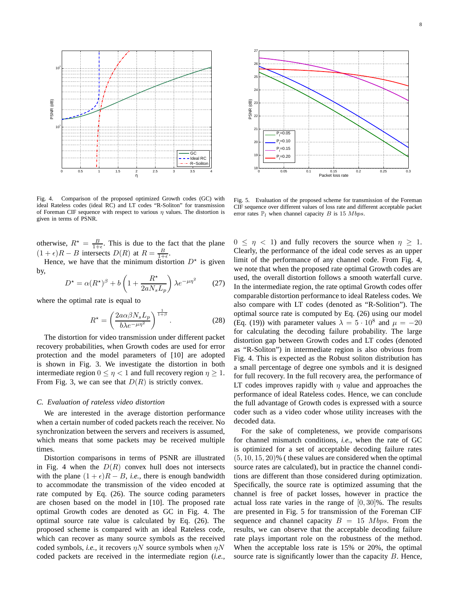

Fig. 4. Comparison of the proposed optimized Growth codes (GC) with ideal Rateless codes (ideal RC) and LT codes "R-Soliton" for transmission of Foreman CIF sequence with respect to various  $\eta$  values. The distortion is given in terms of PSNR.

otherwise,  $R^* = \frac{B}{1+\epsilon}$ . This is due to the fact that the plane  $(1 + \epsilon)R - B$  intersects  $D(R)$  at  $R = \frac{B}{1 + \epsilon}$ .

Hence, we have that the minimum distortion  $D^*$  is given by,

$$
D^* = \alpha (R^*)^{\beta} + b \left( 1 + \frac{R^*}{2a N_s L_p} \right) \lambda e^{-\mu \eta^2}
$$
 (27)

where the optimal rate is equal to

$$
R^* = \left(\frac{2a\alpha\beta N_s L_p}{b\lambda e^{-\mu\eta^2}}\right)^{\frac{1}{1+\beta}}.\tag{28}
$$

The distortion for video transmission under different packet recovery probabilities, when Growth codes are used for error protection and the model parameters of [10] are adopted is shown in Fig. 3. We investigate the distortion in both intermediate region  $0 \le \eta < 1$  and full recovery region  $\eta \ge 1$ . From Fig. 3, we can see that  $D(R)$  is strictly convex.

### *C. Evaluation of rateless video distortion*

We are interested in the average distortion performance when a certain number of coded packets reach the receiver. No synchronization between the servers and receivers is assumed, which means that some packets may be received multiple times.

Distortion comparisons in terms of PSNR are illustrated in Fig. 4 when the  $D(R)$  convex hull does not intersects with the plane  $(1 + \epsilon)R - B$ , *i.e.*, there is enough bandwidth to accommodate the transmission of the video encoded at rate computed by Eq. (26). The source coding parameters are chosen based on the model in [10]. The proposed rate optimal Growth codes are denoted as GC in Fig. 4. The optimal source rate value is calculated by Eq. (26). The proposed scheme is compared with an ideal Rateless code, which can recover as many source symbols as the received coded symbols, *i.e.*, it recovers  $\eta N$  source symbols when  $\eta N$ coded packets are received in the intermediate region (*i.e.,*



Fig. 5. Evaluation of the proposed scheme for transmission of the Foreman CIF sequence over different values of loss rate and different acceptable packet error rates  $\mathbb{P}_l$  when channel capacity B is 15 Mbps.

 $0 \leq \eta \leq 1$ ) and fully recovers the source when  $\eta \geq 1$ . Clearly, the performance of the ideal code serves as an upper limit of the performance of any channel code. From Fig. 4, we note that when the proposed rate optimal Growth codes are used, the overall distortion follows a smooth waterfall curve. In the intermediate region, the rate optimal Growth codes offer comparable distortion performance to ideal Rateless codes. We also compare with LT codes (denoted as "R-Solition"). The optimal source rate is computed by Eq. (26) using our model (Eq. (19)) with parameter values  $\lambda = 5 \cdot 10^8$  and  $\mu = -20$ for calculating the decoding failure probability. The large distortion gap between Growth codes and LT codes (denoted as "R-Soliton") in intermediate region is also obvious from Fig. 4. This is expected as the Robust soliton distribution has a small percentage of degree one symbols and it is designed for full recovery. In the full recovery area, the performance of LT codes improves rapidly with  $\eta$  value and approaches the performance of ideal Rateless codes. Hence, we can conclude the full advantage of Growth codes is expressed with a source coder such as a video coder whose utility increases with the decoded data.

For the sake of completeness, we provide comparisons for channel mismatch conditions, *i.e.*, when the rate of GC is optimized for a set of acceptable decoding failure rates  $(5, 10, 15, 20)$ % (these values are considered when the optimal source rates are calculated), but in practice the channel conditions are different than those considered during optimization. Specifically, the source rate is optimized assuming that the channel is free of packet losses, however in practice the actual loss rate varies in the range of  $[0, 30]$ %. The results are presented in Fig. 5 for transmission of the Foreman CIF sequence and channel capacity  $B = 15$  Mbps. From the results, we can observe that the acceptable decoding failure rate plays important role on the robustness of the method. When the acceptable loss rate is 15% or 20%, the optimal source rate is significantly lower than the capacity  $B$ . Hence,